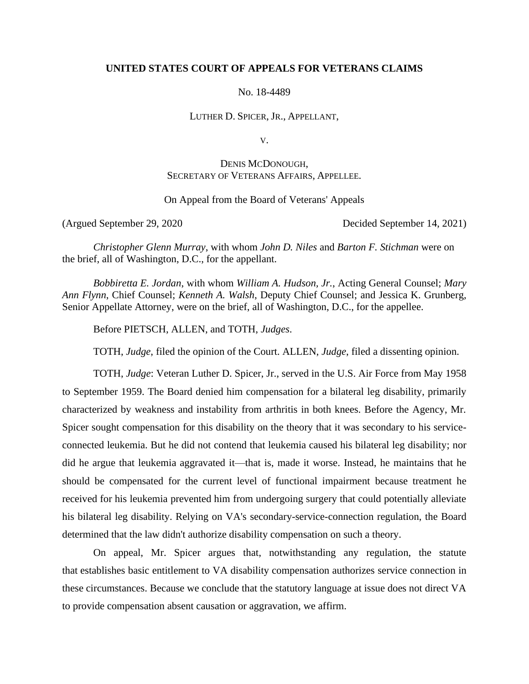# **UNITED STATES COURT OF APPEALS FOR VETERANS CLAIMS**

No. 18-4489

LUTHER D. SPICER, JR., APPELLANT,

V.

DENIS MCDONOUGH, SECRETARY OF VETERANS AFFAIRS, APPELLEE.

On Appeal from the Board of Veterans' Appeals

(Argued September 29, 2020 Decided September 14, 2021)

*Christopher Glenn Murray*, with whom *John D. Niles* and *Barton F. Stichman* were on the brief, all of Washington, D.C., for the appellant.

*Bobbiretta E. Jordan*, with whom *William A. Hudson, Jr.*, Acting General Counsel; *Mary Ann Flynn*, Chief Counsel; *Kenneth A. Walsh*, Deputy Chief Counsel; and Jessica K. Grunberg, Senior Appellate Attorney, were on the brief, all of Washington, D.C., for the appellee.

Before PIETSCH, ALLEN, and TOTH, *Judges*.

TOTH, *Judge*, filed the opinion of the Court. ALLEN, *Judge*, filed a dissenting opinion.

TOTH, *Judge*: Veteran Luther D. Spicer, Jr., served in the U.S. Air Force from May 1958 to September 1959. The Board denied him compensation for a bilateral leg disability, primarily characterized by weakness and instability from arthritis in both knees. Before the Agency, Mr. Spicer sought compensation for this disability on the theory that it was secondary to his serviceconnected leukemia. But he did not contend that leukemia caused his bilateral leg disability; nor did he argue that leukemia aggravated it—that is, made it worse. Instead, he maintains that he should be compensated for the current level of functional impairment because treatment he received for his leukemia prevented him from undergoing surgery that could potentially alleviate his bilateral leg disability. Relying on VA's secondary-service-connection regulation, the Board determined that the law didn't authorize disability compensation on such a theory.

On appeal, Mr. Spicer argues that, notwithstanding any regulation, the statute that establishes basic entitlement to VA disability compensation authorizes service connection in these circumstances. Because we conclude that the statutory language at issue does not direct VA to provide compensation absent causation or aggravation, we affirm.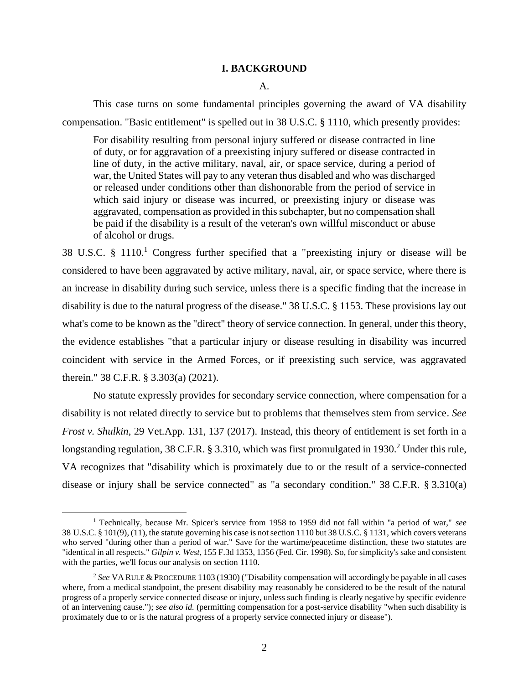## **I. BACKGROUND**

### A.

This case turns on some fundamental principles governing the award of VA disability compensation. "Basic entitlement" is spelled out in 38 U.S.C. § 1110, which presently provides:

For disability resulting from personal injury suffered or disease contracted in line of duty, or for aggravation of a preexisting injury suffered or disease contracted in line of duty, in the active military, naval, air, or space service, during a period of war, the United States will pay to any veteran thus disabled and who was discharged or released under conditions other than dishonorable from the period of service in which said injury or disease was incurred, or preexisting injury or disease was aggravated, compensation as provided in this subchapter, but no compensation shall be paid if the disability is a result of the veteran's own willful misconduct or abuse of alcohol or drugs.

38 U.S.C.  $\S$  1110.<sup>1</sup> Congress further specified that a "preexisting injury or disease will be considered to have been aggravated by active military, naval, air, or space service, where there is an increase in disability during such service, unless there is a specific finding that the increase in disability is due to the natural progress of the disease." 38 U.S.C. § 1153. These provisions lay out what's come to be known as the "direct" theory of service connection. In general, under this theory, the evidence establishes "that a particular injury or disease resulting in disability was incurred coincident with service in the Armed Forces, or if preexisting such service, was aggravated therein." 38 C.F.R. § 3.303(a) (2021).

No statute expressly provides for secondary service connection, where compensation for a disability is not related directly to service but to problems that themselves stem from service. *See Frost v. Shulkin*, 29 Vet.App. 131, 137 (2017). Instead, this theory of entitlement is set forth in a longstanding regulation, 38 C.F.R. § 3.310, which was first promulgated in 1930.<sup>2</sup> Under this rule, VA recognizes that "disability which is proximately due to or the result of a service-connected disease or injury shall be service connected" as "a secondary condition." 38 C.F.R. § 3.310(a)

<sup>1</sup> Technically, because Mr. Spicer's service from 1958 to 1959 did not fall within "a period of war," *see* 38 U.S.C. § 101(9), (11), the statute governing his case is not section 1110 but 38 U.S.C. § 1131, which covers veterans who served "during other than a period of war." Save for the wartime/peacetime distinction, these two statutes are "identical in all respects." *Gilpin v. West*, 155 F.3d 1353, 1356 (Fed. Cir. 1998). So, for simplicity's sake and consistent with the parties, we'll focus our analysis on section 1110.

<sup>2</sup> *See* VA RULE & PROCEDURE 1103 (1930) ("Disability compensation will accordingly be payable in all cases where, from a medical standpoint, the present disability may reasonably be considered to be the result of the natural progress of a properly service connected disease or injury, unless such finding is clearly negative by specific evidence of an intervening cause."); *see also id.* (permitting compensation for a post-service disability "when such disability is proximately due to or is the natural progress of a properly service connected injury or disease").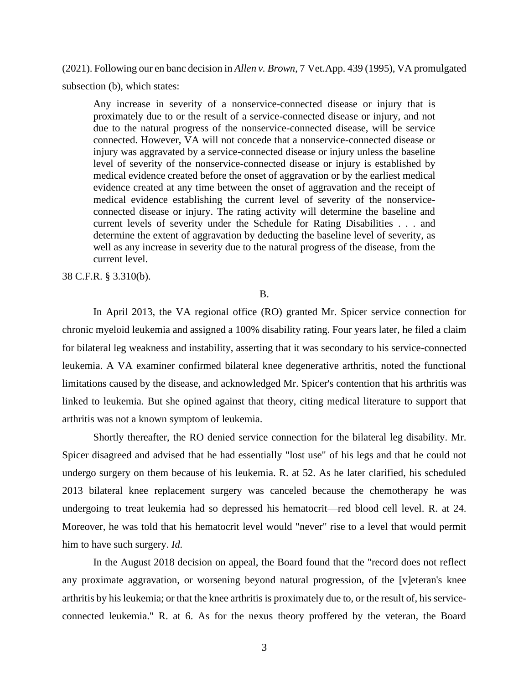(2021). Following our en banc decision in *Allen v. Brown*, 7 Vet.App. 439 (1995), VA promulgated subsection (b), which states:

Any increase in severity of a nonservice-connected disease or injury that is proximately due to or the result of a service-connected disease or injury, and not due to the natural progress of the nonservice-connected disease, will be service connected. However, VA will not concede that a nonservice-connected disease or injury was aggravated by a service-connected disease or injury unless the baseline level of severity of the nonservice-connected disease or injury is established by medical evidence created before the onset of aggravation or by the earliest medical evidence created at any time between the onset of aggravation and the receipt of medical evidence establishing the current level of severity of the nonserviceconnected disease or injury. The rating activity will determine the baseline and current levels of severity under the Schedule for Rating Disabilities . . . and determine the extent of aggravation by deducting the baseline level of severity, as well as any increase in severity due to the natural progress of the disease, from the current level.

38 C.F.R. § 3.310(b).

## B.

In April 2013, the VA regional office (RO) granted Mr. Spicer service connection for chronic myeloid leukemia and assigned a 100% disability rating. Four years later, he filed a claim for bilateral leg weakness and instability, asserting that it was secondary to his service-connected leukemia. A VA examiner confirmed bilateral knee degenerative arthritis, noted the functional limitations caused by the disease, and acknowledged Mr. Spicer's contention that his arthritis was linked to leukemia. But she opined against that theory, citing medical literature to support that arthritis was not a known symptom of leukemia.

Shortly thereafter, the RO denied service connection for the bilateral leg disability. Mr. Spicer disagreed and advised that he had essentially "lost use" of his legs and that he could not undergo surgery on them because of his leukemia. R. at 52. As he later clarified, his scheduled 2013 bilateral knee replacement surgery was canceled because the chemotherapy he was undergoing to treat leukemia had so depressed his hematocrit—red blood cell level. R. at 24. Moreover, he was told that his hematocrit level would "never" rise to a level that would permit him to have such surgery. *Id.*

In the August 2018 decision on appeal, the Board found that the "record does not reflect any proximate aggravation, or worsening beyond natural progression, of the [v]eteran's knee arthritis by his leukemia; or that the knee arthritis is proximately due to, or the result of, his serviceconnected leukemia." R. at 6. As for the nexus theory proffered by the veteran, the Board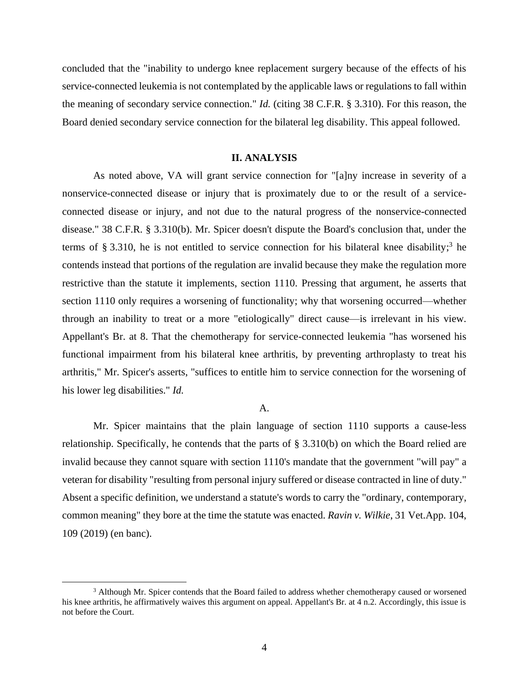concluded that the "inability to undergo knee replacement surgery because of the effects of his service-connected leukemia is not contemplated by the applicable laws or regulations to fall within the meaning of secondary service connection." *Id.* (citing 38 C.F.R. § 3.310). For this reason, the Board denied secondary service connection for the bilateral leg disability. This appeal followed.

### **II. ANALYSIS**

As noted above, VA will grant service connection for "[a]ny increase in severity of a nonservice-connected disease or injury that is proximately due to or the result of a serviceconnected disease or injury, and not due to the natural progress of the nonservice-connected disease." 38 C.F.R. § 3.310(b). Mr. Spicer doesn't dispute the Board's conclusion that, under the terms of § 3.310, he is not entitled to service connection for his bilateral knee disability; 3 he contends instead that portions of the regulation are invalid because they make the regulation more restrictive than the statute it implements, section 1110. Pressing that argument, he asserts that section 1110 only requires a worsening of functionality; why that worsening occurred—whether through an inability to treat or a more "etiologically" direct cause—is irrelevant in his view. Appellant's Br. at 8. That the chemotherapy for service-connected leukemia "has worsened his functional impairment from his bilateral knee arthritis, by preventing arthroplasty to treat his arthritis," Mr. Spicer's asserts, "suffices to entitle him to service connection for the worsening of his lower leg disabilities." *Id.*

#### A.

Mr. Spicer maintains that the plain language of section 1110 supports a cause-less relationship. Specifically, he contends that the parts of § 3.310(b) on which the Board relied are invalid because they cannot square with section 1110's mandate that the government "will pay" a veteran for disability "resulting from personal injury suffered or disease contracted in line of duty." Absent a specific definition, we understand a statute's words to carry the "ordinary, contemporary, common meaning" they bore at the time the statute was enacted. *Ravin v. Wilkie*, 31 Vet.App. 104, 109 (2019) (en banc).

<sup>3</sup> Although Mr. Spicer contends that the Board failed to address whether chemotherapy caused or worsened his knee arthritis, he affirmatively waives this argument on appeal. Appellant's Br. at 4 n.2. Accordingly, this issue is not before the Court.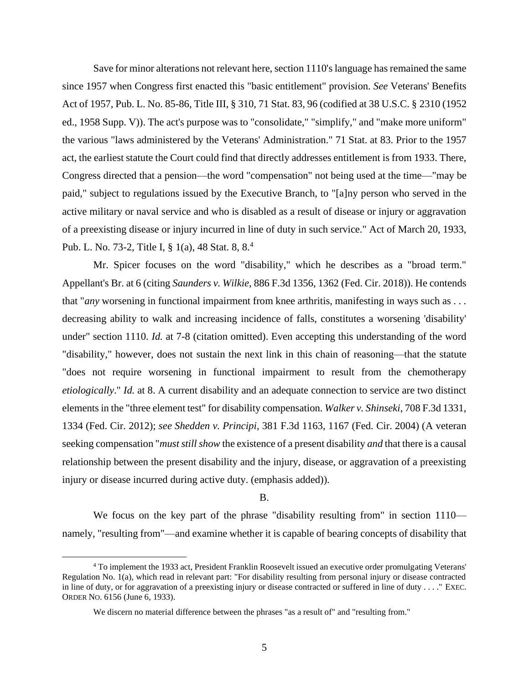Save for minor alterations not relevant here, section 1110'slanguage has remained the same since 1957 when Congress first enacted this "basic entitlement" provision. *See* Veterans' Benefits Act of 1957, Pub. L. No. 85-86, Title III, § 310, 71 Stat. 83, 96 (codified at 38 U.S.C. § 2310 (1952 ed., 1958 Supp. V)). The act's purpose was to "consolidate," "simplify," and "make more uniform" the various "laws administered by the Veterans' Administration." 71 Stat. at 83. Prior to the 1957 act, the earliest statute the Court could find that directly addresses entitlement is from 1933. There, Congress directed that a pension—the word "compensation" not being used at the time—"may be paid," subject to regulations issued by the Executive Branch, to "[a]ny person who served in the active military or naval service and who is disabled as a result of disease or injury or aggravation of a preexisting disease or injury incurred in line of duty in such service." Act of March 20, 1933, Pub. L. No. 73-2, Title I, § 1(a), 48 Stat. 8, 8.<sup>4</sup>

Mr. Spicer focuses on the word "disability," which he describes as a "broad term." Appellant's Br. at 6 (citing *Saunders v. Wilkie*, 886 F.3d 1356, 1362 (Fed. Cir. 2018)). He contends that "*any* worsening in functional impairment from knee arthritis, manifesting in ways such as . . . decreasing ability to walk and increasing incidence of falls, constitutes a worsening 'disability' under" section 1110. *Id.* at 7-8 (citation omitted). Even accepting this understanding of the word "disability," however, does not sustain the next link in this chain of reasoning—that the statute "does not require worsening in functional impairment to result from the chemotherapy *etiologically*." *Id.* at 8. A current disability and an adequate connection to service are two distinct elements in the "three element test" for disability compensation. *Walker v. Shinseki*, 708 F.3d 1331, 1334 (Fed. Cir. 2012); *see Shedden v. Principi*, 381 F.3d 1163, 1167 (Fed. Cir. 2004) (A veteran seeking compensation "*must still show* the existence of a present disability *and* that there is a causal relationship between the present disability and the injury, disease, or aggravation of a preexisting injury or disease incurred during active duty. (emphasis added)).

B.

We focus on the key part of the phrase "disability resulting from" in section  $1110$ namely, "resulting from"—and examine whether it is capable of bearing concepts of disability that

<sup>4</sup> To implement the 1933 act, President Franklin Roosevelt issued an executive order promulgating Veterans' Regulation No. 1(a), which read in relevant part: "For disability resulting from personal injury or disease contracted in line of duty, or for aggravation of a preexisting injury or disease contracted or suffered in line of duty . . . . " EXEC. ORDER NO. 6156 (June 6, 1933).

We discern no material difference between the phrases "as a result of" and "resulting from."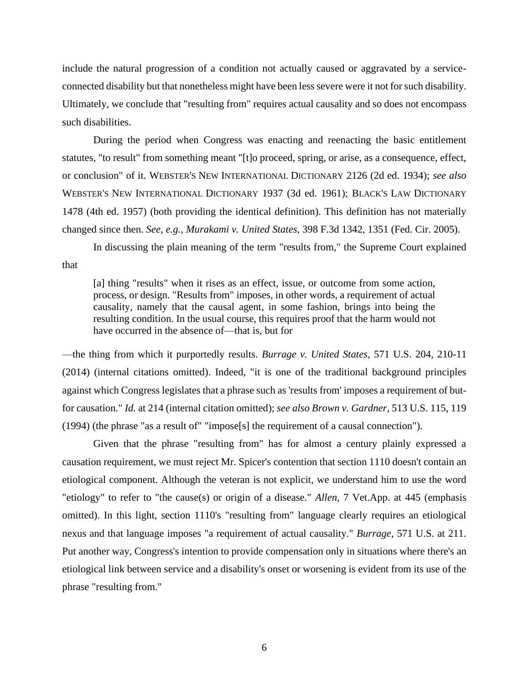include the natural progression of a condition not actually caused or aggravated by a serviceconnected disability but that nonetheless might have been less severe were it not for such disability. Ultimately, we conclude that "resulting from" requires actual causality and so does not encompass such disabilities.

During the period when Congress was enacting and reenacting the basic entitlement statutes, "to result" from something meant "[t]o proceed, spring, or arise, as a consequence, effect, or conclusion" of it. WEBSTER'S NEW INTERNATIONAL DICTIONARY 2126 (2d ed. 1934); *see also* WEBSTER'S NEW INTERNATIONAL DICTIONARY 1937 (3d ed. 1961); BLACK'S LAW DICTIONARY 1478 (4th ed. 1957) (both providing the identical definition). This definition has not materially changed since then. *See, e.g.*, *Murakami v. United States*, 398 F.3d 1342, 1351 (Fed. Cir. 2005).

In discussing the plain meaning of the term "results from," the Supreme Court explained that

[a] thing "results" when it rises as an effect, issue, or outcome from some action, process, or design. "Results from" imposes, in other words, a requirement of actual causality, namely that the causal agent, in some fashion, brings into being the resulting condition. In the usual course, this requires proof that the harm would not have occurred in the absence of—that is, but for

—the thing from which it purportedly results. *Burrage v. United States*, 571 U.S. 204, 210-11 (2014) (internal citations omitted). Indeed, "it is one of the traditional background principles against which Congress legislates that a phrase such as 'results from' imposes a requirement of butfor causation." *Id.* at 214 (internal citation omitted); *see also Brown v. Gardner*, 513 U.S. 115, 119 (1994) (the phrase "as a result of" "impose[s] the requirement of a causal connection").

Given that the phrase "resulting from" has for almost a century plainly expressed a causation requirement, we must reject Mr. Spicer's contention that section 1110 doesn't contain an etiological component. Although the veteran is not explicit, we understand him to use the word "etiology" to refer to "the cause(s) or origin of a disease." *Allen*, 7 Vet.App. at 445 (emphasis omitted). In this light, section 1110's "resulting from" language clearly requires an etiological nexus and that language imposes "a requirement of actual causality." *Burrage*, 571 U.S. at 211. Put another way, Congress's intention to provide compensation only in situations where there's an etiological link between service and a disability's onset or worsening is evident from its use of the phrase "resulting from."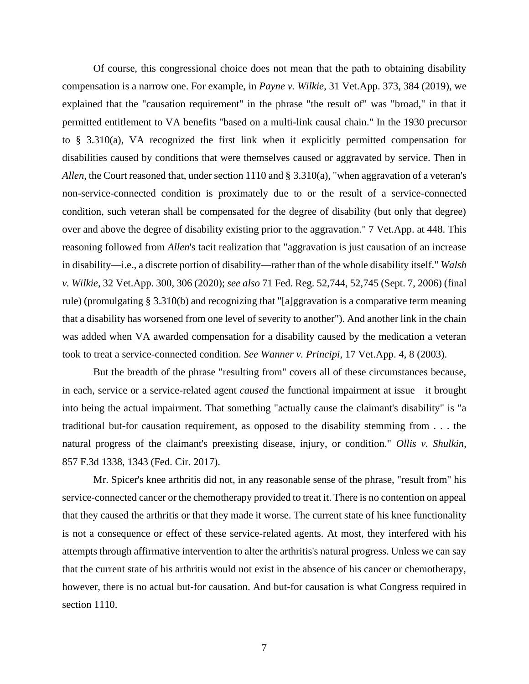Of course, this congressional choice does not mean that the path to obtaining disability compensation is a narrow one. For example, in *Payne v. Wilkie*, 31 Vet.App. 373, 384 (2019), we explained that the "causation requirement" in the phrase "the result of" was "broad," in that it permitted entitlement to VA benefits "based on a multi-link causal chain." In the 1930 precursor to § 3.310(a), VA recognized the first link when it explicitly permitted compensation for disabilities caused by conditions that were themselves caused or aggravated by service. Then in *Allen*, the Court reasoned that, under section 1110 and § 3.310(a), "when aggravation of a veteran's non-service-connected condition is proximately due to or the result of a service-connected condition, such veteran shall be compensated for the degree of disability (but only that degree) over and above the degree of disability existing prior to the aggravation." 7 Vet.App. at 448. This reasoning followed from *Allen*'s tacit realization that "aggravation is just causation of an increase in disability—i.e., a discrete portion of disability—rather than of the whole disability itself." *Walsh v. Wilkie*, 32 Vet.App. 300, 306 (2020); *see also* 71 Fed. Reg. 52,744, 52,745 (Sept. 7, 2006) (final rule) (promulgating § 3.310(b) and recognizing that "[a]ggravation is a comparative term meaning that a disability has worsened from one level of severity to another"). And another link in the chain was added when VA awarded compensation for a disability caused by the medication a veteran took to treat a service-connected condition. *See Wanner v. Principi*, 17 Vet.App. 4, 8 (2003).

But the breadth of the phrase "resulting from" covers all of these circumstances because, in each, service or a service-related agent *caused* the functional impairment at issue—it brought into being the actual impairment. That something "actually cause the claimant's disability" is "a traditional but-for causation requirement, as opposed to the disability stemming from . . . the natural progress of the claimant's preexisting disease, injury, or condition." *Ollis v. Shulkin*, 857 F.3d 1338, 1343 (Fed. Cir. 2017).

Mr. Spicer's knee arthritis did not, in any reasonable sense of the phrase, "result from" his service-connected cancer or the chemotherapy provided to treat it. There is no contention on appeal that they caused the arthritis or that they made it worse. The current state of his knee functionality is not a consequence or effect of these service-related agents. At most, they interfered with his attempts through affirmative intervention to alter the arthritis's natural progress. Unless we can say that the current state of his arthritis would not exist in the absence of his cancer or chemotherapy, however, there is no actual but-for causation. And but-for causation is what Congress required in section 1110.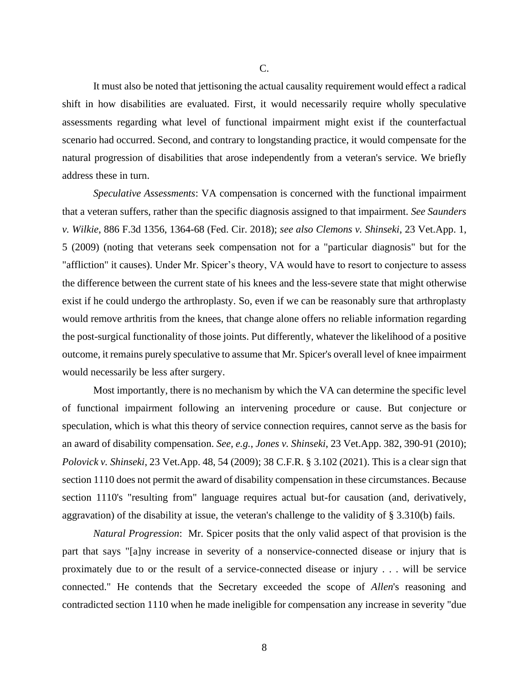It must also be noted that jettisoning the actual causality requirement would effect a radical shift in how disabilities are evaluated. First, it would necessarily require wholly speculative assessments regarding what level of functional impairment might exist if the counterfactual scenario had occurred. Second, and contrary to longstanding practice, it would compensate for the natural progression of disabilities that arose independently from a veteran's service. We briefly address these in turn.

*Speculative Assessments*: VA compensation is concerned with the functional impairment that a veteran suffers, rather than the specific diagnosis assigned to that impairment. *See Saunders v. Wilkie*, 886 F.3d 1356, 1364-68 (Fed. Cir. 2018); *see also Clemons v. Shinseki*, 23 Vet.App. 1, 5 (2009) (noting that veterans seek compensation not for a "particular diagnosis" but for the "affliction" it causes). Under Mr. Spicer's theory, VA would have to resort to conjecture to assess the difference between the current state of his knees and the less-severe state that might otherwise exist if he could undergo the arthroplasty. So, even if we can be reasonably sure that arthroplasty would remove arthritis from the knees, that change alone offers no reliable information regarding the post-surgical functionality of those joints. Put differently, whatever the likelihood of a positive outcome, it remains purely speculative to assume that Mr. Spicer's overall level of knee impairment would necessarily be less after surgery.

Most importantly, there is no mechanism by which the VA can determine the specific level of functional impairment following an intervening procedure or cause. But conjecture or speculation, which is what this theory of service connection requires, cannot serve as the basis for an award of disability compensation. *See, e.g.*, *Jones v. Shinseki*, 23 Vet.App. 382, 390-91 (2010); *Polovick v. Shinseki*, 23 Vet.App. 48, 54 (2009); 38 C.F.R. § 3.102 (2021). This is a clear sign that section 1110 does not permit the award of disability compensation in these circumstances. Because section 1110's "resulting from" language requires actual but-for causation (and, derivatively, aggravation) of the disability at issue, the veteran's challenge to the validity of § 3.310(b) fails.

*Natural Progression*: Mr. Spicer posits that the only valid aspect of that provision is the part that says "[a]ny increase in severity of a nonservice-connected disease or injury that is proximately due to or the result of a service-connected disease or injury . . . will be service connected." He contends that the Secretary exceeded the scope of *Allen*'s reasoning and contradicted section 1110 when he made ineligible for compensation any increase in severity "due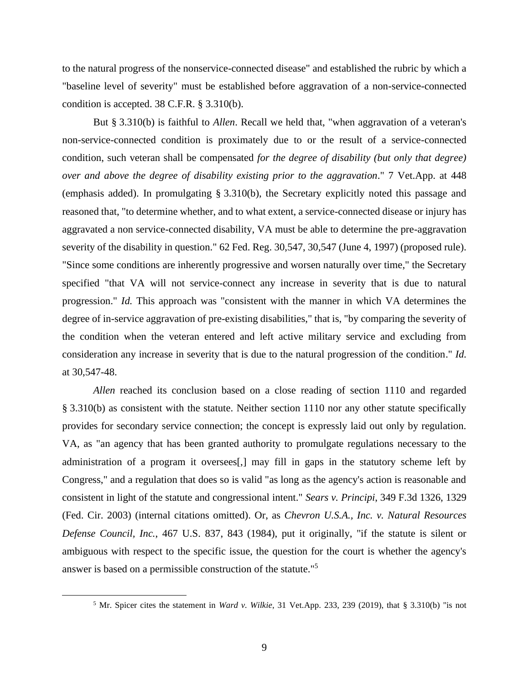to the natural progress of the nonservice-connected disease" and established the rubric by which a "baseline level of severity" must be established before aggravation of a non-service-connected condition is accepted. 38 C.F.R. § 3.310(b).

But § 3.310(b) is faithful to *Allen*. Recall we held that, "when aggravation of a veteran's non-service-connected condition is proximately due to or the result of a service-connected condition, such veteran shall be compensated *for the degree of disability (but only that degree) over and above the degree of disability existing prior to the aggravation*." 7 Vet.App. at 448 (emphasis added). In promulgating § 3.310(b), the Secretary explicitly noted this passage and reasoned that, "to determine whether, and to what extent, a service-connected disease or injury has aggravated a non service-connected disability, VA must be able to determine the pre-aggravation severity of the disability in question." 62 Fed. Reg. 30,547, 30,547 (June 4, 1997) (proposed rule). "Since some conditions are inherently progressive and worsen naturally over time," the Secretary specified "that VA will not service-connect any increase in severity that is due to natural progression." *Id.* This approach was "consistent with the manner in which VA determines the degree of in-service aggravation of pre-existing disabilities," that is, "by comparing the severity of the condition when the veteran entered and left active military service and excluding from consideration any increase in severity that is due to the natural progression of the condition." *Id.* at 30,547-48.

*Allen* reached its conclusion based on a close reading of section 1110 and regarded § 3.310(b) as consistent with the statute. Neither section 1110 nor any other statute specifically provides for secondary service connection; the concept is expressly laid out only by regulation. VA, as "an agency that has been granted authority to promulgate regulations necessary to the administration of a program it oversees[,] may fill in gaps in the statutory scheme left by Congress," and a regulation that does so is valid "as long as the agency's action is reasonable and consistent in light of the statute and congressional intent." *Sears v. Principi*, 349 F.3d 1326, 1329 (Fed. Cir. 2003) (internal citations omitted). Or, as *Chevron U.S.A., Inc. v. Natural Resources Defense Council, Inc.*, 467 U.S. 837, 843 (1984), put it originally, "if the statute is silent or ambiguous with respect to the specific issue, the question for the court is whether the agency's answer is based on a permissible construction of the statute."<sup>5</sup>

<sup>5</sup> Mr. Spicer cites the statement in *Ward v. Wilkie*, 31 Vet.App. 233, 239 (2019), that § 3.310(b) "is not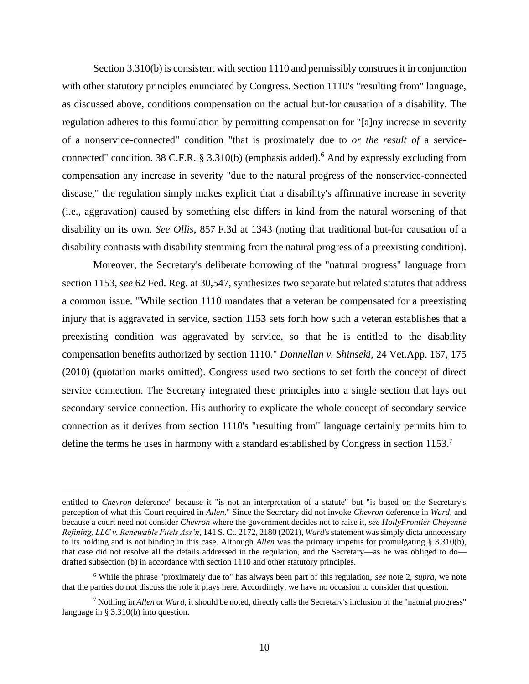Section 3.310(b) is consistent with section 1110 and permissibly construes it in conjunction with other statutory principles enunciated by Congress. Section 1110's "resulting from" language, as discussed above, conditions compensation on the actual but-for causation of a disability. The regulation adheres to this formulation by permitting compensation for "[a]ny increase in severity of a nonservice-connected" condition "that is proximately due to *or the result of* a serviceconnected" condition. 38 C.F.R.  $\S$  3.310(b) (emphasis added).<sup>6</sup> And by expressly excluding from compensation any increase in severity "due to the natural progress of the nonservice-connected disease," the regulation simply makes explicit that a disability's affirmative increase in severity (i.e., aggravation) caused by something else differs in kind from the natural worsening of that disability on its own. *See Ollis*, 857 F.3d at 1343 (noting that traditional but-for causation of a disability contrasts with disability stemming from the natural progress of a preexisting condition).

Moreover, the Secretary's deliberate borrowing of the "natural progress" language from section 1153, *see* 62 Fed. Reg. at 30,547, synthesizes two separate but related statutes that address a common issue. "While section 1110 mandates that a veteran be compensated for a preexisting injury that is aggravated in service, section 1153 sets forth how such a veteran establishes that a preexisting condition was aggravated by service, so that he is entitled to the disability compensation benefits authorized by section 1110." *Donnellan v. Shinseki*, 24 Vet.App. 167, 175 (2010) (quotation marks omitted). Congress used two sections to set forth the concept of direct service connection. The Secretary integrated these principles into a single section that lays out secondary service connection. His authority to explicate the whole concept of secondary service connection as it derives from section 1110's "resulting from" language certainly permits him to define the terms he uses in harmony with a standard established by Congress in section 1153.<sup>7</sup>

entitled to *Chevron* deference" because it "is not an interpretation of a statute" but "is based on the Secretary's perception of what this Court required in *Allen*." Since the Secretary did not invoke *Chevron* deference in *Ward*, and because a court need not consider *Chevron* where the government decides not to raise it, *see HollyFrontier Cheyenne Refining, LLC v. Renewable Fuels Ass'n*, 141 S. Ct. 2172, 2180 (2021), *Ward*'s statement was simply dicta unnecessary to its holding and is not binding in this case. Although *Allen* was the primary impetus for promulgating § 3.310(b), that case did not resolve all the details addressed in the regulation, and the Secretary—as he was obliged to do drafted subsection (b) in accordance with section 1110 and other statutory principles.

<sup>6</sup> While the phrase "proximately due to" has always been part of this regulation, *see* note 2, *supra*, we note that the parties do not discuss the role it plays here. Accordingly, we have no occasion to consider that question.

<sup>7</sup> Nothing in *Allen* or *Ward*, it should be noted, directly calls the Secretary's inclusion of the "natural progress" language in § 3.310(b) into question.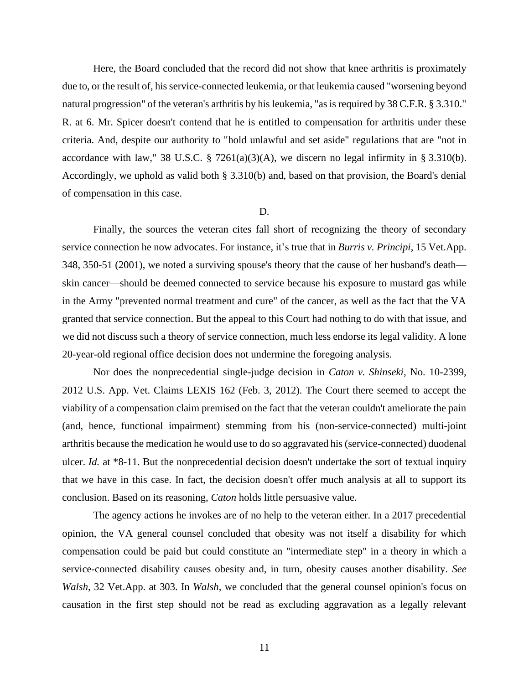Here, the Board concluded that the record did not show that knee arthritis is proximately due to, or the result of, hisservice-connected leukemia, or that leukemia caused "worsening beyond natural progression" of the veteran's arthritis by his leukemia, "as is required by 38 C.F.R. § 3.310." R. at 6. Mr. Spicer doesn't contend that he is entitled to compensation for arthritis under these criteria. And, despite our authority to "hold unlawful and set aside" regulations that are "not in accordance with law," 38 U.S.C. § 7261(a)(3)(A), we discern no legal infirmity in § 3.310(b). Accordingly, we uphold as valid both § 3.310(b) and, based on that provision, the Board's denial of compensation in this case.

### D.

Finally, the sources the veteran cites fall short of recognizing the theory of secondary service connection he now advocates. For instance, it's true that in *Burris v. Principi*, 15 Vet.App. 348, 350-51 (2001), we noted a surviving spouse's theory that the cause of her husband's death skin cancer—should be deemed connected to service because his exposure to mustard gas while in the Army "prevented normal treatment and cure" of the cancer, as well as the fact that the VA granted that service connection. But the appeal to this Court had nothing to do with that issue, and we did not discuss such a theory of service connection, much less endorse its legal validity. A lone 20-year-old regional office decision does not undermine the foregoing analysis.

Nor does the nonprecedential single-judge decision in *Caton v. Shinseki*, No. 10-2399, 2012 U.S. App. Vet. Claims LEXIS 162 (Feb. 3, 2012). The Court there seemed to accept the viability of a compensation claim premised on the fact that the veteran couldn't ameliorate the pain (and, hence, functional impairment) stemming from his (non-service-connected) multi-joint arthritis because the medication he would use to do so aggravated his (service-connected) duodenal ulcer. *Id.* at \*8-11. But the nonprecedential decision doesn't undertake the sort of textual inquiry that we have in this case. In fact, the decision doesn't offer much analysis at all to support its conclusion. Based on its reasoning, *Caton* holds little persuasive value.

The agency actions he invokes are of no help to the veteran either. In a 2017 precedential opinion, the VA general counsel concluded that obesity was not itself a disability for which compensation could be paid but could constitute an "intermediate step" in a theory in which a service-connected disability causes obesity and, in turn, obesity causes another disability. *See Walsh*, 32 Vet.App. at 303. In *Walsh*, we concluded that the general counsel opinion's focus on causation in the first step should not be read as excluding aggravation as a legally relevant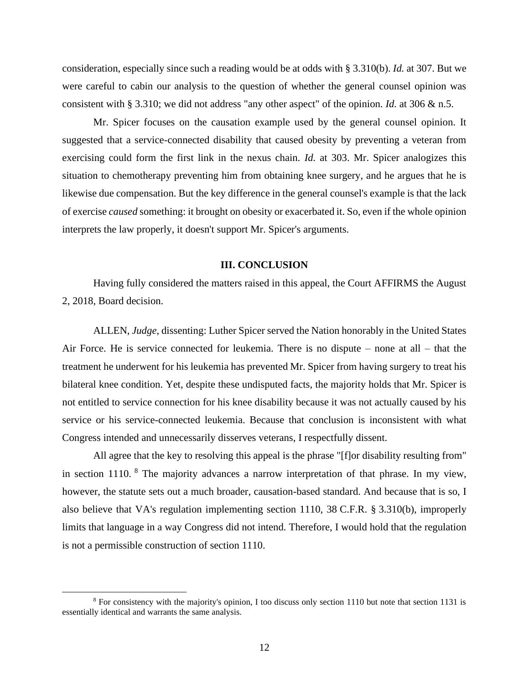consideration, especially since such a reading would be at odds with § 3.310(b). *Id.* at 307. But we were careful to cabin our analysis to the question of whether the general counsel opinion was consistent with § 3.310; we did not address "any other aspect" of the opinion. *Id.* at 306 & n.5.

Mr. Spicer focuses on the causation example used by the general counsel opinion. It suggested that a service-connected disability that caused obesity by preventing a veteran from exercising could form the first link in the nexus chain. *Id.* at 303. Mr. Spicer analogizes this situation to chemotherapy preventing him from obtaining knee surgery, and he argues that he is likewise due compensation. But the key difference in the general counsel's example is that the lack of exercise *caused* something: it brought on obesity or exacerbated it. So, even if the whole opinion interprets the law properly, it doesn't support Mr. Spicer's arguments.

#### **III. CONCLUSION**

Having fully considered the matters raised in this appeal, the Court AFFIRMS the August 2, 2018, Board decision.

ALLEN, *Judge*, dissenting: Luther Spicer served the Nation honorably in the United States Air Force. He is service connected for leukemia. There is no dispute – none at all – that the treatment he underwent for his leukemia has prevented Mr. Spicer from having surgery to treat his bilateral knee condition. Yet, despite these undisputed facts, the majority holds that Mr. Spicer is not entitled to service connection for his knee disability because it was not actually caused by his service or his service-connected leukemia. Because that conclusion is inconsistent with what Congress intended and unnecessarily disserves veterans, I respectfully dissent.

All agree that the key to resolving this appeal is the phrase "[f]or disability resulting from" in section 1110. <sup>8</sup> The majority advances a narrow interpretation of that phrase. In my view, however, the statute sets out a much broader, causation-based standard. And because that is so, I also believe that VA's regulation implementing section 1110, 38 C.F.R. § 3.310(b), improperly limits that language in a way Congress did not intend. Therefore, I would hold that the regulation is not a permissible construction of section 1110.

<sup>8</sup> For consistency with the majority's opinion, I too discuss only section 1110 but note that section 1131 is essentially identical and warrants the same analysis.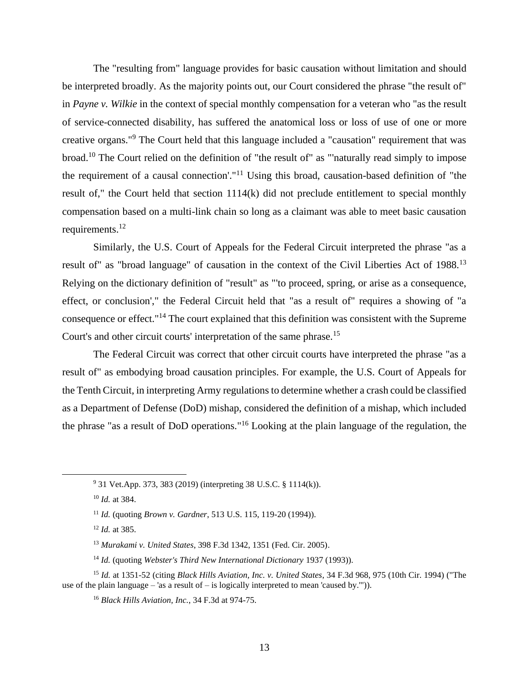The "resulting from" language provides for basic causation without limitation and should be interpreted broadly. As the majority points out, our Court considered the phrase "the result of" in *Payne v. Wilkie* in the context of special monthly compensation for a veteran who "as the result of service-connected disability, has suffered the anatomical loss or loss of use of one or more creative organs."<sup>9</sup> The Court held that this language included a "causation" requirement that was broad.<sup>10</sup> The Court relied on the definition of "the result of" as "'naturally read simply to impose the requirement of a causal connection'."<sup>11</sup> Using this broad, causation-based definition of "the result of," the Court held that section 1114(k) did not preclude entitlement to special monthly compensation based on a multi-link chain so long as a claimant was able to meet basic causation requirements.<sup>12</sup>

Similarly, the U.S. Court of Appeals for the Federal Circuit interpreted the phrase "as a result of" as "broad language" of causation in the context of the Civil Liberties Act of 1988.<sup>13</sup> Relying on the dictionary definition of "result" as "'to proceed, spring, or arise as a consequence, effect, or conclusion'," the Federal Circuit held that "as a result of" requires a showing of "a consequence or effect."<sup>14</sup> The court explained that this definition was consistent with the Supreme Court's and other circuit courts' interpretation of the same phrase.<sup>15</sup>

The Federal Circuit was correct that other circuit courts have interpreted the phrase "as a result of" as embodying broad causation principles. For example, the U.S. Court of Appeals for the Tenth Circuit, in interpreting Army regulations to determine whether a crash could be classified as a Department of Defense (DoD) mishap, considered the definition of a mishap, which included the phrase "as a result of DoD operations." <sup>16</sup> Looking at the plain language of the regulation, the

<sup>9</sup> 31 Vet.App. 373, 383 (2019) (interpreting 38 U.S.C. § 1114(k)).

<sup>10</sup> *Id.* at 384.

<sup>11</sup> *Id.* (quoting *Brown v. Gardner*, 513 U.S. 115, 119-20 (1994)).

<sup>12</sup> *Id.* at 385.

<sup>13</sup> *Murakami v. United States*, 398 F.3d 1342, 1351 (Fed. Cir. 2005).

<sup>14</sup> *Id.* (quoting *Webster's Third New International Dictionary* 1937 (1993)).

<sup>15</sup> *Id.* at 1351-52 (citing *Black Hills Aviation, Inc. v. United States*, 34 F.3d 968, 975 (10th Cir. 1994) ("The use of the plain language – 'as a result of – is logically interpreted to mean 'caused by.'")).

<sup>16</sup> *Black Hills Aviation, Inc.*, 34 F.3d at 974-75.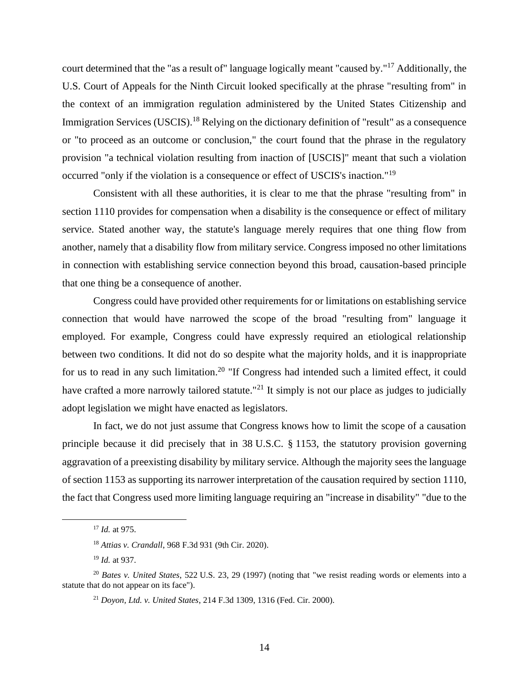court determined that the "as a result of" language logically meant "caused by."<sup>17</sup> Additionally, the U.S. Court of Appeals for the Ninth Circuit looked specifically at the phrase "resulting from" in the context of an immigration regulation administered by the United States Citizenship and Immigration Services (USCIS).<sup>18</sup> Relying on the dictionary definition of "result" as a consequence or "to proceed as an outcome or conclusion," the court found that the phrase in the regulatory provision "a technical violation resulting from inaction of [USCIS]" meant that such a violation occurred "only if the violation is a consequence or effect of USCIS's inaction."<sup>19</sup>

Consistent with all these authorities, it is clear to me that the phrase "resulting from" in section 1110 provides for compensation when a disability is the consequence or effect of military service. Stated another way, the statute's language merely requires that one thing flow from another, namely that a disability flow from military service. Congress imposed no other limitations in connection with establishing service connection beyond this broad, causation-based principle that one thing be a consequence of another.

Congress could have provided other requirements for or limitations on establishing service connection that would have narrowed the scope of the broad "resulting from" language it employed. For example, Congress could have expressly required an etiological relationship between two conditions. It did not do so despite what the majority holds, and it is inappropriate for us to read in any such limitation.<sup>20</sup> "If Congress had intended such a limited effect, it could have crafted a more narrowly tailored statute."<sup>21</sup> It simply is not our place as judges to judicially adopt legislation we might have enacted as legislators.

In fact, we do not just assume that Congress knows how to limit the scope of a causation principle because it did precisely that in 38 U.S.C. § 1153, the statutory provision governing aggravation of a preexisting disability by military service. Although the majority sees the language of section 1153 as supporting its narrower interpretation of the causation required by section 1110, the fact that Congress used more limiting language requiring an "increase in disability" "due to the

<sup>17</sup> *Id.* at 975.

<sup>18</sup> *Attias v. Crandall*, 968 F.3d 931 (9th Cir. 2020).

<sup>19</sup> *Id.* at 937.

<sup>20</sup> *Bates v. United States*, 522 U.S. 23, 29 (1997) (noting that "we resist reading words or elements into a statute that do not appear on its face").

<sup>21</sup> *Doyon, Ltd. v. United States*, 214 F.3d 1309, 1316 (Fed. Cir. 2000).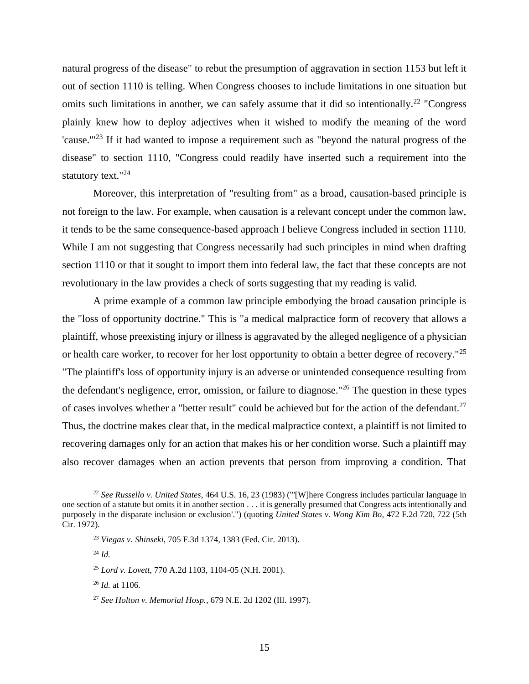natural progress of the disease" to rebut the presumption of aggravation in section 1153 but left it out of section 1110 is telling. When Congress chooses to include limitations in one situation but omits such limitations in another, we can safely assume that it did so intentionally.<sup>22</sup> "Congress" plainly knew how to deploy adjectives when it wished to modify the meaning of the word 'cause. $123$  If it had wanted to impose a requirement such as "beyond the natural progress of the disease" to section 1110, "Congress could readily have inserted such a requirement into the statutory text."<sup>24</sup>

Moreover, this interpretation of "resulting from" as a broad, causation-based principle is not foreign to the law. For example, when causation is a relevant concept under the common law, it tends to be the same consequence-based approach I believe Congress included in section 1110. While I am not suggesting that Congress necessarily had such principles in mind when drafting section 1110 or that it sought to import them into federal law, the fact that these concepts are not revolutionary in the law provides a check of sorts suggesting that my reading is valid.

A prime example of a common law principle embodying the broad causation principle is the "loss of opportunity doctrine." This is "a medical malpractice form of recovery that allows a plaintiff, whose preexisting injury or illness is aggravated by the alleged negligence of a physician or health care worker, to recover for her lost opportunity to obtain a better degree of recovery."<sup>25</sup> "The plaintiff's loss of opportunity injury is an adverse or unintended consequence resulting from the defendant's negligence, error, omission, or failure to diagnose."<sup>26</sup> The question in these types of cases involves whether a "better result" could be achieved but for the action of the defendant.<sup>27</sup> Thus, the doctrine makes clear that, in the medical malpractice context, a plaintiff is not limited to recovering damages only for an action that makes his or her condition worse. Such a plaintiff may also recover damages when an action prevents that person from improving a condition. That

<sup>22</sup> *See Russello v. United States*, 464 U.S. 16, 23 (1983) ("'[W]here Congress includes particular language in one section of a statute but omits it in another section . . . it is generally presumed that Congress acts intentionally and purposely in the disparate inclusion or exclusion'.") (quoting *United States v. Wong Kim Bo*, 472 F.2d 720, 722 (5th Cir. 1972).

<sup>23</sup> *Viegas v. Shinseki*, 705 F.3d 1374, 1383 (Fed. Cir. 2013).

<sup>24</sup> *Id.*

<sup>25</sup> *Lord v. Lovett*, 770 A.2d 1103, 1104-05 (N.H. 2001).

<sup>26</sup> *Id.* at 1106.

<sup>27</sup> *See Holton v. Memorial Hosp.*, 679 N.E. 2d 1202 (Ill. 1997).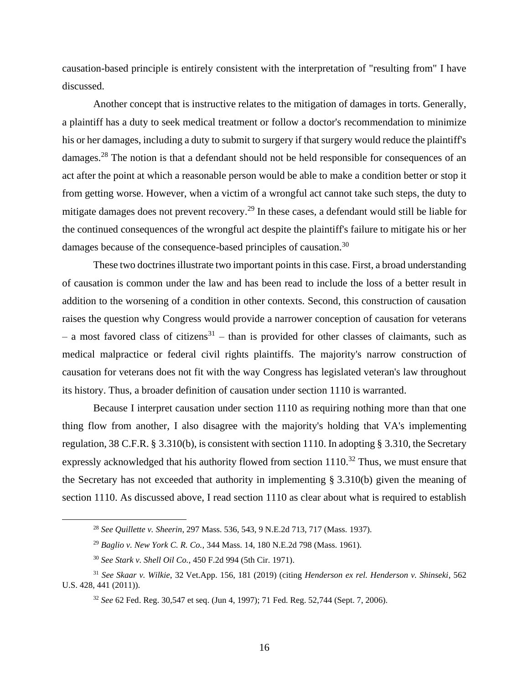causation-based principle is entirely consistent with the interpretation of "resulting from" I have discussed.

Another concept that is instructive relates to the mitigation of damages in torts. Generally, a plaintiff has a duty to seek medical treatment or follow a doctor's recommendation to minimize his or her damages, including a duty to submit to surgery if that surgery would reduce the plaintiff's damages.<sup>28</sup> The notion is that a defendant should not be held responsible for consequences of an act after the point at which a reasonable person would be able to make a condition better or stop it from getting worse. However, when a victim of a wrongful act cannot take such steps, the duty to mitigate damages does not prevent recovery.<sup>29</sup> In these cases, a defendant would still be liable for the continued consequences of the wrongful act despite the plaintiff's failure to mitigate his or her damages because of the consequence-based principles of causation.<sup>30</sup>

These two doctrines illustrate two important points in this case. First, a broad understanding of causation is common under the law and has been read to include the loss of a better result in addition to the worsening of a condition in other contexts. Second, this construction of causation raises the question why Congress would provide a narrower conception of causation for veterans  $-$  a most favored class of citizens<sup>31</sup>  $-$  than is provided for other classes of claimants, such as medical malpractice or federal civil rights plaintiffs. The majority's narrow construction of causation for veterans does not fit with the way Congress has legislated veteran's law throughout its history. Thus, a broader definition of causation under section 1110 is warranted.

Because I interpret causation under section 1110 as requiring nothing more than that one thing flow from another, I also disagree with the majority's holding that VA's implementing regulation, 38 C.F.R. § 3.310(b), is consistent with section 1110. In adopting § 3.310, the Secretary expressly acknowledged that his authority flowed from section  $1110^{32}$  Thus, we must ensure that the Secretary has not exceeded that authority in implementing § 3.310(b) given the meaning of section 1110. As discussed above, I read section 1110 as clear about what is required to establish

<sup>28</sup> *See Quillette v. Sheerin*, 297 Mass. 536, 543, 9 N.E.2d 713, 717 (Mass. 1937).

<sup>29</sup> *Baglio v. New York C. R. Co.*, 344 Mass. 14, 180 N.E.2d 798 (Mass. 1961).

<sup>30</sup> *See Stark v. Shell Oil Co.*, 450 F.2d 994 (5th Cir. 1971).

<sup>31</sup> *See Skaar v. Wilkie*, 32 Vet.App. 156, 181 (2019) (citing *Henderson ex rel. Henderson v. Shinseki*, 562 U.S. 428, 441 (2011)).

<sup>32</sup> *See* 62 Fed. Reg. 30,547 et seq. (Jun 4, 1997); 71 Fed. Reg. 52,744 (Sept. 7, 2006).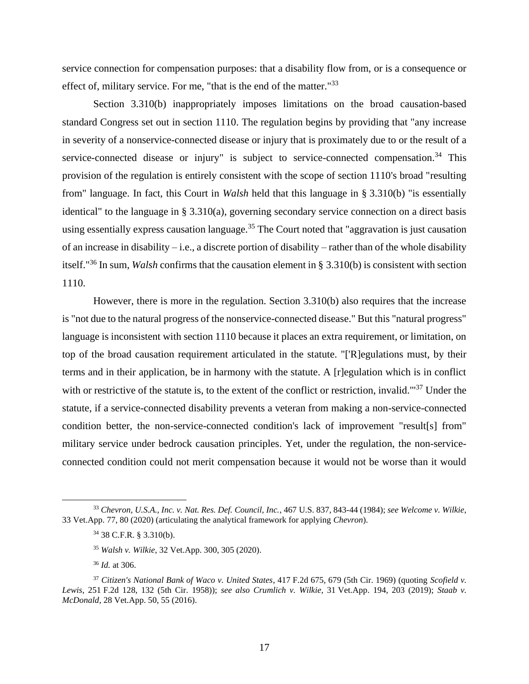service connection for compensation purposes: that a disability flow from, or is a consequence or effect of, military service. For me, "that is the end of the matter."<sup>33</sup>

Section 3.310(b) inappropriately imposes limitations on the broad causation-based standard Congress set out in section 1110. The regulation begins by providing that "any increase in severity of a nonservice-connected disease or injury that is proximately due to or the result of a service-connected disease or injury" is subject to service-connected compensation.<sup>34</sup> This provision of the regulation is entirely consistent with the scope of section 1110's broad "resulting from" language. In fact, this Court in *Walsh* held that this language in § 3.310(b) "is essentially identical" to the language in § 3.310(a), governing secondary service connection on a direct basis using essentially express causation language.<sup>35</sup> The Court noted that "aggravation is just causation of an increase in disability – i.e., a discrete portion of disability – rather than of the whole disability itself."<sup>36</sup> In sum, *Walsh* confirms that the causation element in § 3.310(b) is consistent with section 1110.

However, there is more in the regulation. Section 3.310(b) also requires that the increase is "not due to the natural progress of the nonservice-connected disease." But this "natural progress" language is inconsistent with section 1110 because it places an extra requirement, or limitation, on top of the broad causation requirement articulated in the statute. "['R]egulations must, by their terms and in their application, be in harmony with the statute. A [r]egulation which is in conflict with or restrictive of the statute is, to the extent of the conflict or restriction, invalid.<sup>"37</sup> Under the statute, if a service-connected disability prevents a veteran from making a non-service-connected condition better, the non-service-connected condition's lack of improvement "result[s] from" military service under bedrock causation principles. Yet, under the regulation, the non-serviceconnected condition could not merit compensation because it would not be worse than it would

<sup>33</sup> *Chevron, U.S.A., Inc. v. Nat. Res. Def. Council, Inc.*, 467 U.S. 837, 843-44 (1984); *see Welcome v. Wilkie*, 33 Vet.App. 77, 80 (2020) (articulating the analytical framework for applying *Chevron*).

<sup>34</sup> 38 C.F.R. § 3.310(b).

<sup>35</sup> *Walsh v. Wilkie*, 32 Vet.App. 300, 305 (2020).

<sup>36</sup> *Id.* at 306.

<sup>37</sup> *Citizen's National Bank of Waco v. United States*, 417 F.2d 675, 679 (5th Cir. 1969) (quoting *Scofield v. Lewis*, 251 F.2d 128, 132 (5th Cir. 1958)); *see also Crumlich v. Wilkie*, 31 Vet.App. 194, 203 (2019); *Staab v. McDonald*, 28 Vet.App. 50, 55 (2016).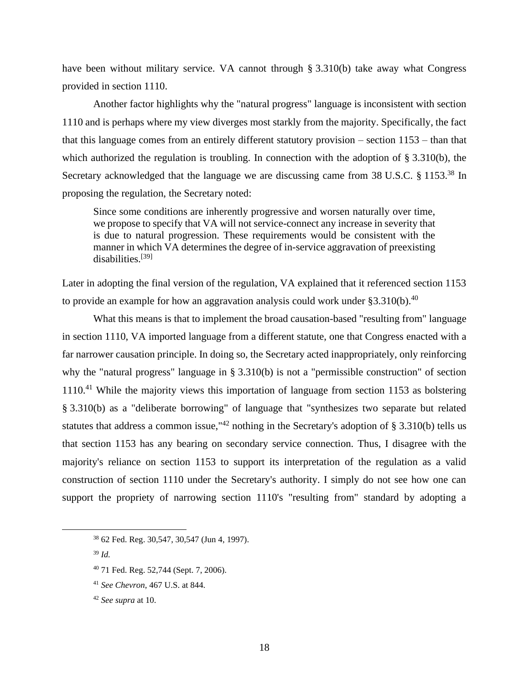have been without military service. VA cannot through § 3.310(b) take away what Congress provided in section 1110.

Another factor highlights why the "natural progress" language is inconsistent with section 1110 and is perhaps where my view diverges most starkly from the majority. Specifically, the fact that this language comes from an entirely different statutory provision – section 1153 – than that which authorized the regulation is troubling. In connection with the adoption of § 3.310(b), the Secretary acknowledged that the language we are discussing came from 38 U.S.C. § 1153.<sup>38</sup> In proposing the regulation, the Secretary noted:

Since some conditions are inherently progressive and worsen naturally over time, we propose to specify that VA will not service-connect any increase in severity that is due to natural progression. These requirements would be consistent with the manner in which VA determines the degree of in-service aggravation of preexisting disabilities.[39]

Later in adopting the final version of the regulation, VA explained that it referenced section 1153 to provide an example for how an aggravation analysis could work under  $§3.310(b).^{40}$ 

What this means is that to implement the broad causation-based "resulting from" language in section 1110, VA imported language from a different statute, one that Congress enacted with a far narrower causation principle. In doing so, the Secretary acted inappropriately, only reinforcing why the "natural progress" language in § 3.310(b) is not a "permissible construction" of section 1110<sup>.41</sup> While the majority views this importation of language from section 1153 as bolstering § 3.310(b) as a "deliberate borrowing" of language that "synthesizes two separate but related statutes that address a common issue,"<sup>42</sup> nothing in the Secretary's adoption of § 3.310(b) tells us that section 1153 has any bearing on secondary service connection. Thus, I disagree with the majority's reliance on section 1153 to support its interpretation of the regulation as a valid construction of section 1110 under the Secretary's authority. I simply do not see how one can support the propriety of narrowing section 1110's "resulting from" standard by adopting a

<sup>39</sup> *Id.*

- <sup>40</sup> 71 Fed. Reg. 52,744 (Sept. 7, 2006).
- <sup>41</sup> *See Chevron*, 467 U.S. at 844.
- <sup>42</sup> *See supra* at 10.

<sup>38</sup> 62 Fed. Reg. 30,547, 30,547 (Jun 4, 1997).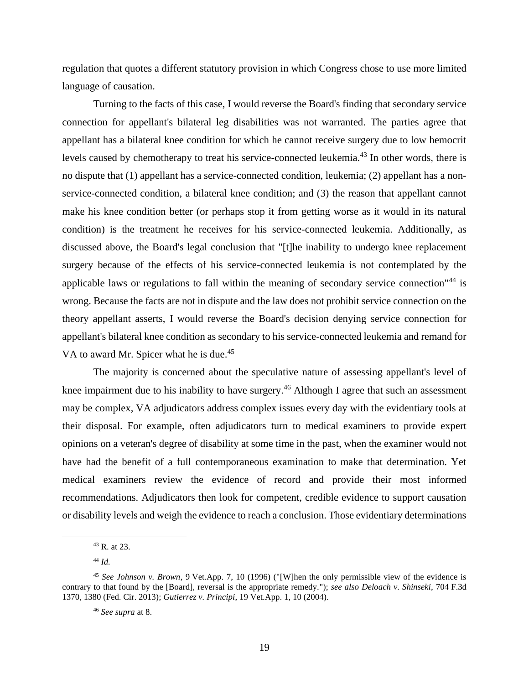regulation that quotes a different statutory provision in which Congress chose to use more limited language of causation.

Turning to the facts of this case, I would reverse the Board's finding that secondary service connection for appellant's bilateral leg disabilities was not warranted. The parties agree that appellant has a bilateral knee condition for which he cannot receive surgery due to low hemocrit levels caused by chemotherapy to treat his service-connected leukemia.<sup>43</sup> In other words, there is no dispute that (1) appellant has a service-connected condition, leukemia; (2) appellant has a nonservice-connected condition, a bilateral knee condition; and (3) the reason that appellant cannot make his knee condition better (or perhaps stop it from getting worse as it would in its natural condition) is the treatment he receives for his service-connected leukemia. Additionally, as discussed above, the Board's legal conclusion that "[t]he inability to undergo knee replacement surgery because of the effects of his service-connected leukemia is not contemplated by the applicable laws or regulations to fall within the meaning of secondary service connection<sup>"44</sup> is wrong. Because the facts are not in dispute and the law does not prohibit service connection on the theory appellant asserts, I would reverse the Board's decision denying service connection for appellant's bilateral knee condition as secondary to his service-connected leukemia and remand for VA to award Mr. Spicer what he is due.<sup>45</sup>

The majority is concerned about the speculative nature of assessing appellant's level of knee impairment due to his inability to have surgery.<sup>46</sup> Although I agree that such an assessment may be complex, VA adjudicators address complex issues every day with the evidentiary tools at their disposal. For example, often adjudicators turn to medical examiners to provide expert opinions on a veteran's degree of disability at some time in the past, when the examiner would not have had the benefit of a full contemporaneous examination to make that determination. Yet medical examiners review the evidence of record and provide their most informed recommendations. Adjudicators then look for competent, credible evidence to support causation or disability levels and weigh the evidence to reach a conclusion. Those evidentiary determinations

<sup>43</sup> R. at 23.

<sup>44</sup> *Id.*

<sup>45</sup> *See Johnson v. Brown*, 9 Vet.App. 7, 10 (1996) ("[W]hen the only permissible view of the evidence is contrary to that found by the [Board], reversal is the appropriate remedy."); *see also Deloach v. Shinseki*, 704 F.3d 1370, 1380 (Fed. Cir. 2013); *Gutierrez v. Principi*, 19 Vet.App. 1, 10 (2004).

<sup>46</sup> *See supra* at 8.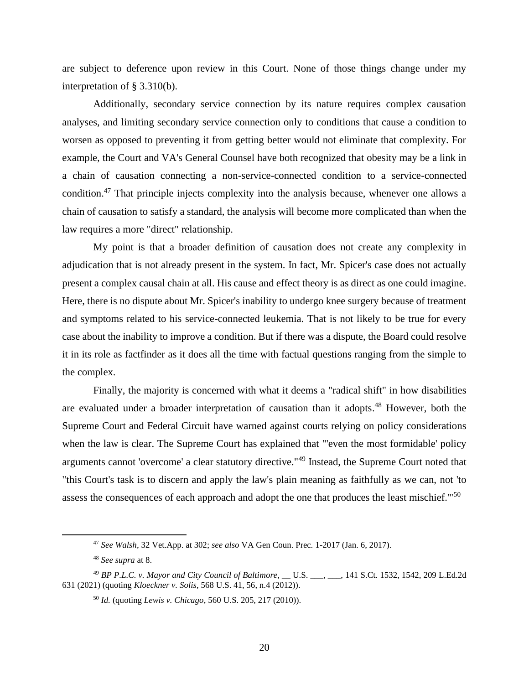are subject to deference upon review in this Court. None of those things change under my interpretation of § 3.310(b).

Additionally, secondary service connection by its nature requires complex causation analyses, and limiting secondary service connection only to conditions that cause a condition to worsen as opposed to preventing it from getting better would not eliminate that complexity. For example, the Court and VA's General Counsel have both recognized that obesity may be a link in a chain of causation connecting a non-service-connected condition to a service-connected condition.<sup>47</sup> That principle injects complexity into the analysis because, whenever one allows a chain of causation to satisfy a standard, the analysis will become more complicated than when the law requires a more "direct" relationship.

My point is that a broader definition of causation does not create any complexity in adjudication that is not already present in the system. In fact, Mr. Spicer's case does not actually present a complex causal chain at all. His cause and effect theory is as direct as one could imagine. Here, there is no dispute about Mr. Spicer's inability to undergo knee surgery because of treatment and symptoms related to his service-connected leukemia. That is not likely to be true for every case about the inability to improve a condition. But if there was a dispute, the Board could resolve it in its role as factfinder as it does all the time with factual questions ranging from the simple to the complex.

Finally, the majority is concerned with what it deems a "radical shift" in how disabilities are evaluated under a broader interpretation of causation than it adopts.<sup>48</sup> However, both the Supreme Court and Federal Circuit have warned against courts relying on policy considerations when the law is clear. The Supreme Court has explained that "'even the most formidable' policy arguments cannot 'overcome' a clear statutory directive."<sup>49</sup> Instead, the Supreme Court noted that "this Court's task is to discern and apply the law's plain meaning as faithfully as we can, not 'to assess the consequences of each approach and adopt the one that produces the least mischief."<sup>50</sup>

<sup>47</sup> *See Walsh*, 32 Vet.App. at 302; *see also* VA Gen Coun. Prec. 1-2017 (Jan. 6, 2017).

<sup>48</sup> *See supra* at 8.

<sup>49</sup> *BP P.L.C. v. Mayor and City Council of Baltimore*, \_\_ U.S. \_\_\_, \_\_\_, 141 S.Ct. 1532, 1542, 209 L.Ed.2d 631 (2021) (quoting *Kloeckner v. Solis*, 568 U.S. 41, 56, n.4 (2012)).

<sup>50</sup> *Id.* (quoting *Lewis v. Chicago*, 560 U.S. 205, 217 (2010)).